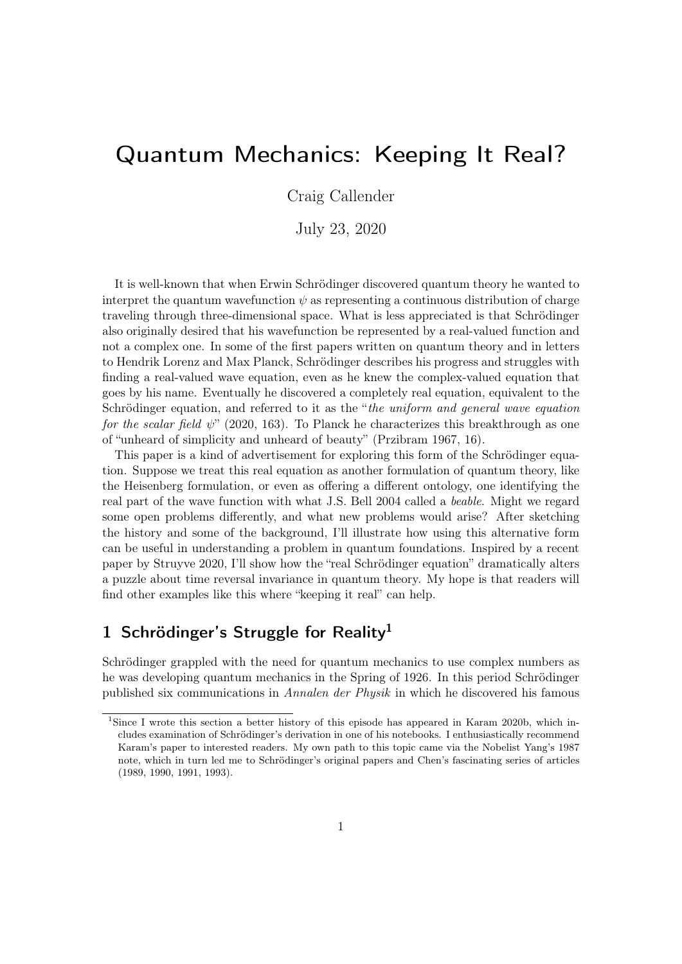# Quantum Mechanics: Keeping It Real?

Craig Callender

July 23, 2020

It is well-known that when Erwin Schrödinger discovered quantum theory he wanted to interpret the quantum wavefunction  $\psi$  as representing a continuous distribution of charge traveling through three-dimensional space. What is less appreciated is that Schrödinger also originally desired that his wavefunction be represented by a real-valued function and not a complex one. In some of the first papers written on quantum theory and in letters to Hendrik Lorenz and Max Planck, Schrödinger describes his progress and struggles with finding a real-valued wave equation, even as he knew the complex-valued equation that goes by his name. Eventually he discovered a completely real equation, equivalent to the Schrödinger equation, and referred to it as the "*the uniform and general wave equation* for the scalar field  $\psi$ " (2020, 163). To Planck he characterizes this breakthrough as one of "unheard of simplicity and unheard of beauty" (Przibram 1967, 16).

This paper is a kind of advertisement for exploring this form of the Schrödinger equation. Suppose we treat this real equation as another formulation of quantum theory, like the Heisenberg formulation, or even as offering a different ontology, one identifying the real part of the wave function with what J.S. Bell 2004 called a beable. Might we regard some open problems differently, and what new problems would arise? After sketching the history and some of the background, I'll illustrate how using this alternative form can be useful in understanding a problem in quantum foundations. Inspired by a recent paper by Struyve 2020, I'll show how the "real Schrödinger equation" dramatically alters a puzzle about time reversal invariance in quantum theory. My hope is that readers will find other examples like this where "keeping it real" can help.

## 1 Schrödinger's Struggle for Reality<sup>1</sup>

Schrödinger grappled with the need for quantum mechanics to use complex numbers as he was developing quantum mechanics in the Spring of 1926. In this period Schrödinger published six communications in Annalen der Physik in which he discovered his famous

<sup>1</sup>Since I wrote this section a better history of this episode has appeared in Karam 2020b, which includes examination of Schrödinger's derivation in one of his notebooks. I enthusiastically recommend Karam's paper to interested readers. My own path to this topic came via the Nobelist Yang's 1987 note, which in turn led me to Schrödinger's original papers and Chen's fascinating series of articles (1989, 1990, 1991, 1993).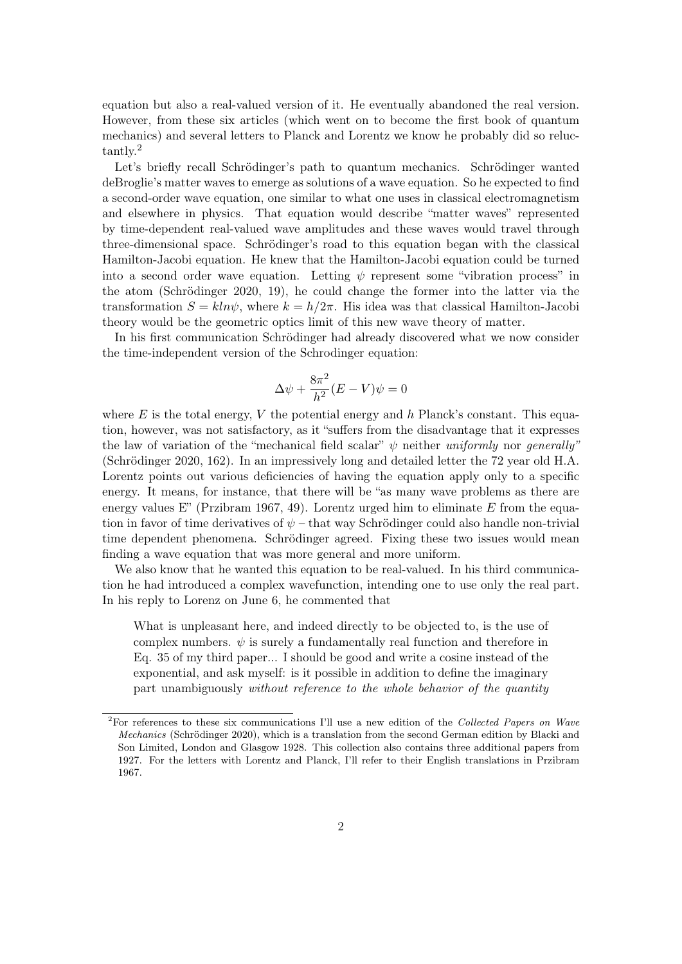equation but also a real-valued version of it. He eventually abandoned the real version. However, from these six articles (which went on to become the first book of quantum mechanics) and several letters to Planck and Lorentz we know he probably did so reluctantly.<sup>2</sup>

Let's briefly recall Schrödinger's path to quantum mechanics. Schrödinger wanted deBroglie's matter waves to emerge as solutions of a wave equation. So he expected to find a second-order wave equation, one similar to what one uses in classical electromagnetism and elsewhere in physics. That equation would describe "matter waves" represented by time-dependent real-valued wave amplitudes and these waves would travel through three-dimensional space. Schrödinger's road to this equation began with the classical Hamilton-Jacobi equation. He knew that the Hamilton-Jacobi equation could be turned into a second order wave equation. Letting  $\psi$  represent some "vibration process" in the atom (Schrödinger 2020, 19), he could change the former into the latter via the transformation  $S = kln\psi$ , where  $k = h/2\pi$ . His idea was that classical Hamilton-Jacobi theory would be the geometric optics limit of this new wave theory of matter.

In his first communication Schrödinger had already discovered what we now consider the time-independent version of the Schrodinger equation:

$$
\Delta \psi + \frac{8\pi^2}{h^2} (E - V)\psi = 0
$$

where E is the total energy, V the potential energy and h Planck's constant. This equation, however, was not satisfactory, as it "suffers from the disadvantage that it expresses the law of variation of the "mechanical field scalar"  $\psi$  neither uniformly nor generally" (Schrödinger 2020, 162). In an impressively long and detailed letter the 72 year old H.A. Lorentz points out various deficiencies of having the equation apply only to a specific energy. It means, for instance, that there will be "as many wave problems as there are energy values E" (Przibram 1967, 49). Lorentz urged him to eliminate E from the equation in favor of time derivatives of  $\psi$  – that way Schrödinger could also handle non-trivial time dependent phenomena. Schrödinger agreed. Fixing these two issues would mean finding a wave equation that was more general and more uniform.

We also know that he wanted this equation to be real-valued. In his third communication he had introduced a complex wavefunction, intending one to use only the real part. In his reply to Lorenz on June 6, he commented that

What is unpleasant here, and indeed directly to be objected to, is the use of complex numbers.  $\psi$  is surely a fundamentally real function and therefore in Eq. 35 of my third paper... I should be good and write a cosine instead of the exponential, and ask myself: is it possible in addition to define the imaginary part unambiguously without reference to the whole behavior of the quantity

<sup>&</sup>lt;sup>2</sup>For references to these six communications I'll use a new edition of the Collected Papers on Wave Mechanics (Schrödinger 2020), which is a translation from the second German edition by Blacki and Son Limited, London and Glasgow 1928. This collection also contains three additional papers from 1927. For the letters with Lorentz and Planck, I'll refer to their English translations in Przibram 1967.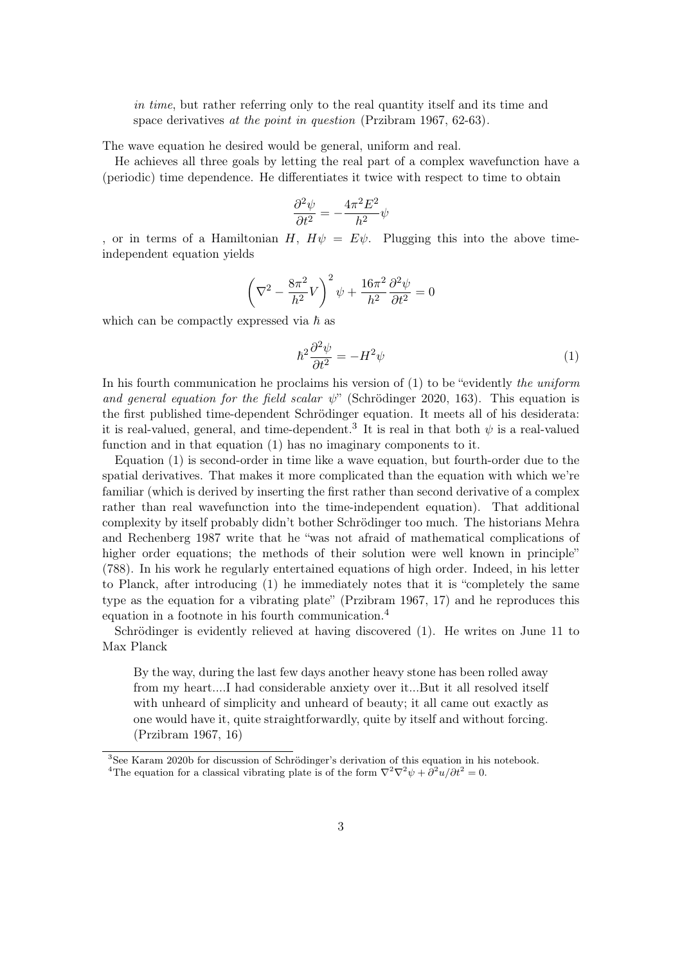in time, but rather referring only to the real quantity itself and its time and space derivatives at the point in question (Przibram 1967, 62-63).

The wave equation he desired would be general, uniform and real.

He achieves all three goals by letting the real part of a complex wavefunction have a (periodic) time dependence. He differentiates it twice with respect to time to obtain

$$
\frac{\partial^2\psi}{\partial t^2}=-\frac{4\pi^2E^2}{h^2}\psi
$$

, or in terms of a Hamiltonian H,  $H\psi = E\psi$ . Plugging this into the above timeindependent equation yields

$$
\left(\nabla^2 - \frac{8\pi^2}{h^2}V\right)^2 \psi + \frac{16\pi^2}{h^2} \frac{\partial^2 \psi}{\partial t^2} = 0
$$

which can be compactly expressed via  $\hbar$  as

$$
\hbar^2 \frac{\partial^2 \psi}{\partial t^2} = -H^2 \psi \tag{1}
$$

In his fourth communication he proclaims his version of  $(1)$  to be "evidently the uniform and general equation for the field scalar  $\psi$ " (Schrödinger 2020, 163). This equation is the first published time-dependent Schrödinger equation. It meets all of his desiderata: it is real-valued, general, and time-dependent.<sup>3</sup> It is real in that both  $\psi$  is a real-valued function and in that equation (1) has no imaginary components to it.

Equation (1) is second-order in time like a wave equation, but fourth-order due to the spatial derivatives. That makes it more complicated than the equation with which we're familiar (which is derived by inserting the first rather than second derivative of a complex rather than real wavefunction into the time-independent equation). That additional complexity by itself probably didn't bother Schrödinger too much. The historians Mehra and Rechenberg 1987 write that he "was not afraid of mathematical complications of higher order equations; the methods of their solution were well known in principle" (788). In his work he regularly entertained equations of high order. Indeed, in his letter to Planck, after introducing (1) he immediately notes that it is "completely the same type as the equation for a vibrating plate" (Przibram 1967, 17) and he reproduces this equation in a footnote in his fourth communication.<sup>4</sup>

Schrödinger is evidently relieved at having discovered (1). He writes on June 11 to Max Planck

By the way, during the last few days another heavy stone has been rolled away from my heart....I had considerable anxiety over it...But it all resolved itself with unheard of simplicity and unheard of beauty; it all came out exactly as one would have it, quite straightforwardly, quite by itself and without forcing. (Przibram 1967, 16)

<sup>3</sup>See Karam 2020b for discussion of Schrödinger's derivation of this equation in his notebook.

<sup>&</sup>lt;sup>4</sup>The equation for a classical vibrating plate is of the form  $\nabla^2 \nabla^2 \psi + \frac{\partial^2 u}{\partial t^2} = 0$ .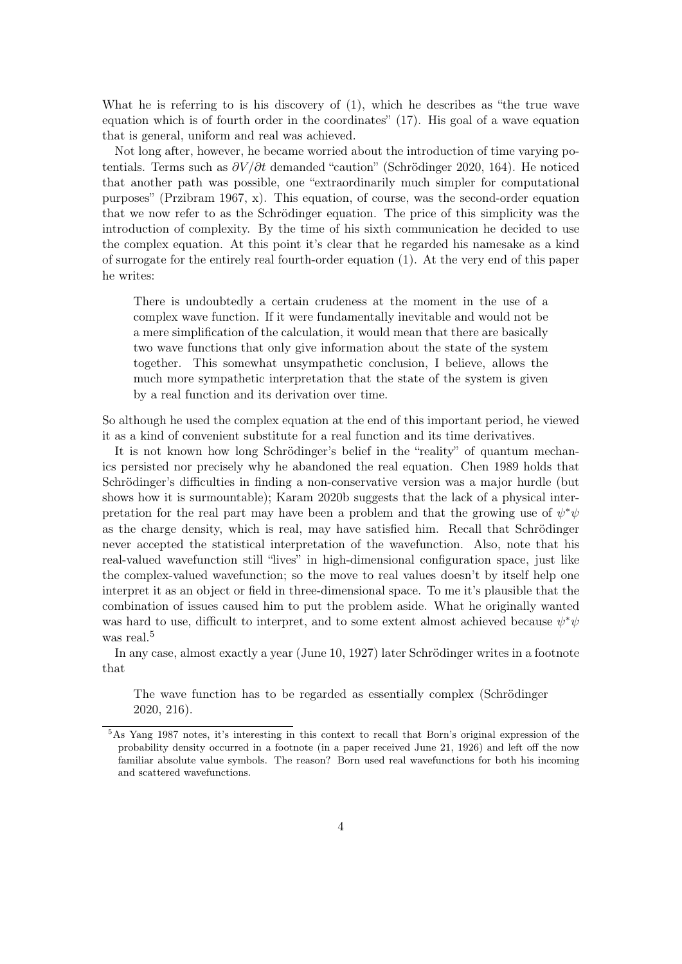What he is referring to is his discovery of (1), which he describes as "the true wave equation which is of fourth order in the coordinates" (17). His goal of a wave equation that is general, uniform and real was achieved.

Not long after, however, he became worried about the introduction of time varying potentials. Terms such as  $\partial V/\partial t$  demanded "caution" (Schrödinger 2020, 164). He noticed that another path was possible, one "extraordinarily much simpler for computational purposes" (Przibram 1967, x). This equation, of course, was the second-order equation that we now refer to as the Schrödinger equation. The price of this simplicity was the introduction of complexity. By the time of his sixth communication he decided to use the complex equation. At this point it's clear that he regarded his namesake as a kind of surrogate for the entirely real fourth-order equation (1). At the very end of this paper he writes:

There is undoubtedly a certain crudeness at the moment in the use of a complex wave function. If it were fundamentally inevitable and would not be a mere simplification of the calculation, it would mean that there are basically two wave functions that only give information about the state of the system together. This somewhat unsympathetic conclusion, I believe, allows the much more sympathetic interpretation that the state of the system is given by a real function and its derivation over time.

So although he used the complex equation at the end of this important period, he viewed it as a kind of convenient substitute for a real function and its time derivatives.

It is not known how long Schrödinger's belief in the "reality" of quantum mechanics persisted nor precisely why he abandoned the real equation. Chen 1989 holds that Schrödinger's difficulties in finding a non-conservative version was a major hurdle (but shows how it is surmountable); Karam 2020b suggests that the lack of a physical interpretation for the real part may have been a problem and that the growing use of  $\psi^*\psi$ as the charge density, which is real, may have satisfied him. Recall that Schrödinger never accepted the statistical interpretation of the wavefunction. Also, note that his real-valued wavefunction still "lives" in high-dimensional configuration space, just like the complex-valued wavefunction; so the move to real values doesn't by itself help one interpret it as an object or field in three-dimensional space. To me it's plausible that the combination of issues caused him to put the problem aside. What he originally wanted was hard to use, difficult to interpret, and to some extent almost achieved because  $\psi^*\psi$ was real.<sup>5</sup>

In any case, almost exactly a year (June 10, 1927) later Schrödinger writes in a footnote that

The wave function has to be regarded as essentially complex (Schrödinger 2020, 216).

<sup>5</sup>As Yang 1987 notes, it's interesting in this context to recall that Born's original expression of the probability density occurred in a footnote (in a paper received June 21, 1926) and left off the now familiar absolute value symbols. The reason? Born used real wavefunctions for both his incoming and scattered wavefunctions.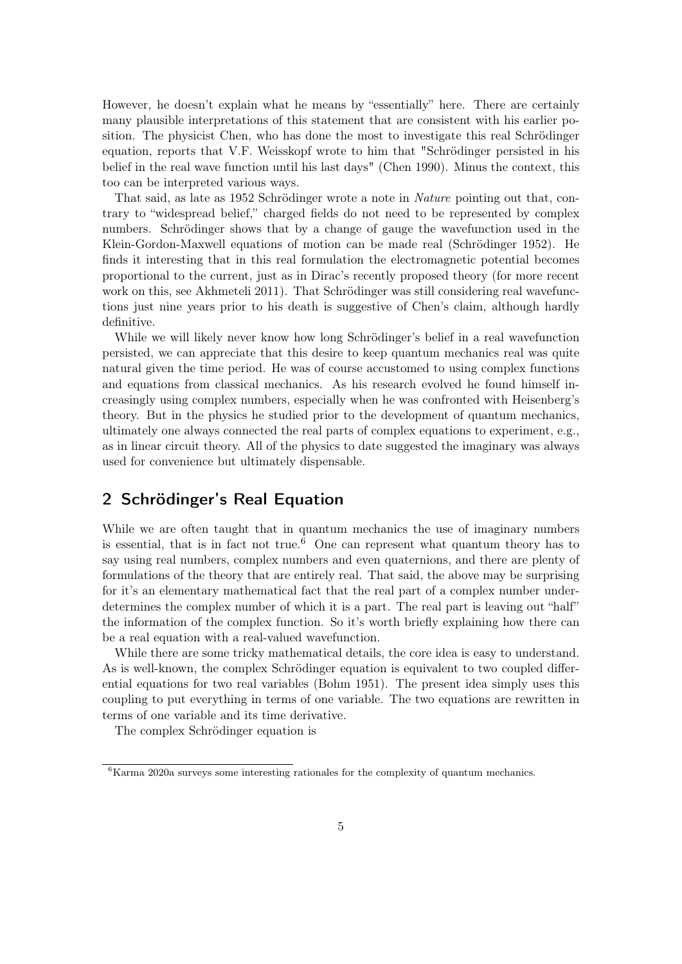However, he doesn't explain what he means by "essentially" here. There are certainly many plausible interpretations of this statement that are consistent with his earlier position. The physicist Chen, who has done the most to investigate this real Schrödinger equation, reports that V.F. Weisskopf wrote to him that "Schrödinger persisted in his belief in the real wave function until his last days" (Chen 1990). Minus the context, this too can be interpreted various ways.

That said, as late as 1952 Schrödinger wrote a note in Nature pointing out that, contrary to "widespread belief," charged fields do not need to be represented by complex numbers. Schrödinger shows that by a change of gauge the wavefunction used in the Klein-Gordon-Maxwell equations of motion can be made real (Schrödinger 1952). He finds it interesting that in this real formulation the electromagnetic potential becomes proportional to the current, just as in Dirac's recently proposed theory (for more recent work on this, see Akhmeteli 2011). That Schrödinger was still considering real wavefunctions just nine years prior to his death is suggestive of Chen's claim, although hardly definitive.

While we will likely never know how long Schrödinger's belief in a real wavefunction persisted, we can appreciate that this desire to keep quantum mechanics real was quite natural given the time period. He was of course accustomed to using complex functions and equations from classical mechanics. As his research evolved he found himself increasingly using complex numbers, especially when he was confronted with Heisenberg's theory. But in the physics he studied prior to the development of quantum mechanics, ultimately one always connected the real parts of complex equations to experiment, e.g., as in linear circuit theory. All of the physics to date suggested the imaginary was always used for convenience but ultimately dispensable.

#### 2 Schrödinger's Real Equation

While we are often taught that in quantum mechanics the use of imaginary numbers is essential, that is in fact not true.<sup>6</sup> One can represent what quantum theory has to say using real numbers, complex numbers and even quaternions, and there are plenty of formulations of the theory that are entirely real. That said, the above may be surprising for it's an elementary mathematical fact that the real part of a complex number underdetermines the complex number of which it is a part. The real part is leaving out "half" the information of the complex function. So it's worth briefly explaining how there can be a real equation with a real-valued wavefunction.

While there are some tricky mathematical details, the core idea is easy to understand. As is well-known, the complex Schrödinger equation is equivalent to two coupled differential equations for two real variables (Bohm 1951). The present idea simply uses this coupling to put everything in terms of one variable. The two equations are rewritten in terms of one variable and its time derivative.

The complex Schrödinger equation is

 ${}^{6}$ Karma 2020a surveys some interesting rationales for the complexity of quantum mechanics.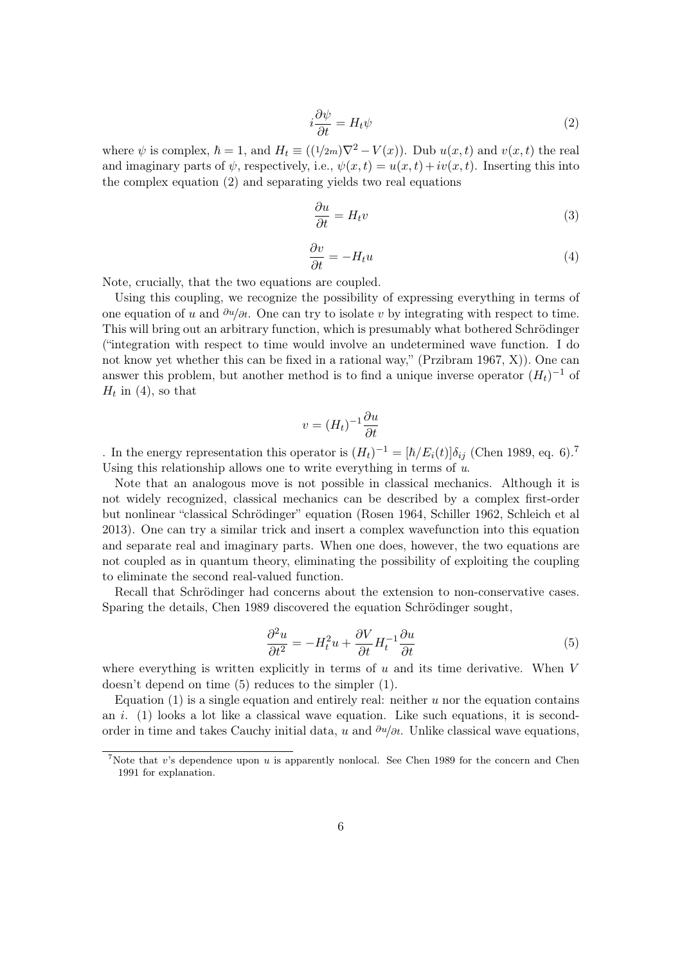$$
i\frac{\partial \psi}{\partial t} = H_t \psi \tag{2}
$$

where  $\psi$  is complex,  $\hbar = 1$ , and  $H_t \equiv ((1/2m)\nabla^2 - V(x))$ . Dub  $u(x, t)$  and  $v(x, t)$  the real and imaginary parts of  $\psi$ , respectively, i.e.,  $\psi(x,t) = u(x,t) + iv(x,t)$ . Inserting this into the complex equation (2) and separating yields two real equations

$$
\frac{\partial u}{\partial t} = H_t v \tag{3}
$$

$$
\frac{\partial v}{\partial t} = -H_t u \tag{4}
$$

Note, crucially, that the two equations are coupled.

Using this coupling, we recognize the possibility of expressing everything in terms of one equation of u and  $\partial u/\partial t$ . One can try to isolate v by integrating with respect to time. This will bring out an arbitrary function, which is presumably what bothered Schrödinger ("integration with respect to time would involve an undetermined wave function. I do not know yet whether this can be fixed in a rational way," (Przibram 1967, X)). One can answer this problem, but another method is to find a unique inverse operator  $(H_t)^{-1}$  of  $H_t$  in (4), so that

$$
v = (H_t)^{-1} \frac{\partial u}{\partial t}
$$

. In the energy representation this operator is  $(H_t)^{-1} = [\hbar/E_i(t)]\delta_{ij}$  (Chen 1989, eq. 6).<sup>7</sup> Using this relationship allows one to write everything in terms of  $u$ .

Note that an analogous move is not possible in classical mechanics. Although it is not widely recognized, classical mechanics can be described by a complex first-order but nonlinear "classical Schrödinger" equation (Rosen 1964, Schiller 1962, Schleich et al 2013). One can try a similar trick and insert a complex wavefunction into this equation and separate real and imaginary parts. When one does, however, the two equations are not coupled as in quantum theory, eliminating the possibility of exploiting the coupling to eliminate the second real-valued function.

Recall that Schrödinger had concerns about the extension to non-conservative cases. Sparing the details, Chen 1989 discovered the equation Schrödinger sought,

$$
\frac{\partial^2 u}{\partial t^2} = -H_t^2 u + \frac{\partial V}{\partial t} H_t^{-1} \frac{\partial u}{\partial t} \tag{5}
$$

where everything is written explicitly in terms of  $u$  and its time derivative. When  $V$ doesn't depend on time (5) reduces to the simpler (1).

Equation  $(1)$  is a single equation and entirely real: neither u nor the equation contains an i. (1) looks a lot like a classical wave equation. Like such equations, it is secondorder in time and takes Cauchy initial data, u and  $\partial u/\partial t$ . Unlike classical wave equations,

<sup>&</sup>lt;sup>7</sup>Note that v's dependence upon  $u$  is apparently nonlocal. See Chen 1989 for the concern and Chen 1991 for explanation.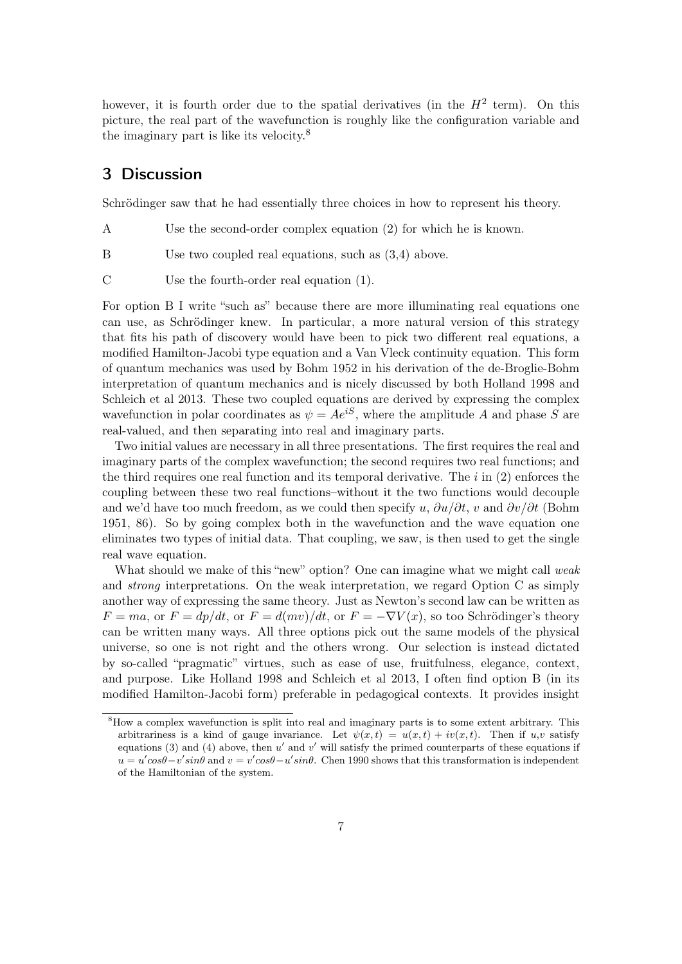however, it is fourth order due to the spatial derivatives (in the  $H^2$  term). On this picture, the real part of the wavefunction is roughly like the configuration variable and the imaginary part is like its velocity.<sup>8</sup>

#### 3 Discussion

Schrödinger saw that he had essentially three choices in how to represent his theory.

- A Use the second-order complex equation (2) for which he is known.
- B Use two coupled real equations, such as  $(3,4)$  above.
- C Use the fourth-order real equation (1).

For option B I write "such as" because there are more illuminating real equations one can use, as Schrödinger knew. In particular, a more natural version of this strategy that fits his path of discovery would have been to pick two different real equations, a modified Hamilton-Jacobi type equation and a Van Vleck continuity equation. This form of quantum mechanics was used by Bohm 1952 in his derivation of the de-Broglie-Bohm interpretation of quantum mechanics and is nicely discussed by both Holland 1998 and Schleich et al 2013. These two coupled equations are derived by expressing the complex wavefunction in polar coordinates as  $\psi = Ae^{iS}$ , where the amplitude A and phase S are real-valued, and then separating into real and imaginary parts.

Two initial values are necessary in all three presentations. The first requires the real and imaginary parts of the complex wavefunction; the second requires two real functions; and the third requires one real function and its temporal derivative. The  $i$  in  $(2)$  enforces the coupling between these two real functions–without it the two functions would decouple and we'd have too much freedom, as we could then specify u,  $\partial u/\partial t$ , v and  $\partial v/\partial t$  (Bohm 1951, 86). So by going complex both in the wavefunction and the wave equation one eliminates two types of initial data. That coupling, we saw, is then used to get the single real wave equation.

What should we make of this "new" option? One can imagine what we might call weak and strong interpretations. On the weak interpretation, we regard Option C as simply another way of expressing the same theory. Just as Newton's second law can be written as  $F = ma$ , or  $F = dp/dt$ , or  $F = d(mv)/dt$ , or  $F = -\nabla V(x)$ , so too Schrödinger's theory can be written many ways. All three options pick out the same models of the physical universe, so one is not right and the others wrong. Our selection is instead dictated by so-called "pragmatic" virtues, such as ease of use, fruitfulness, elegance, context, and purpose. Like Holland 1998 and Schleich et al 2013, I often find option B (in its modified Hamilton-Jacobi form) preferable in pedagogical contexts. It provides insight

<sup>&</sup>lt;sup>8</sup>How a complex wavefunction is split into real and imaginary parts is to some extent arbitrary. This arbitrariness is a kind of gauge invariance. Let  $\psi(x,t) = u(x,t) + iv(x,t)$ . Then if  $u,v$  satisfy equations (3) and (4) above, then u' and v' will satisfy the primed counterparts of these equations if  $u = u'cos\theta - v'sin\theta$  and  $v = v'cos\theta - u'sin\theta$ . Chen 1990 shows that this transformation is independent of the Hamiltonian of the system.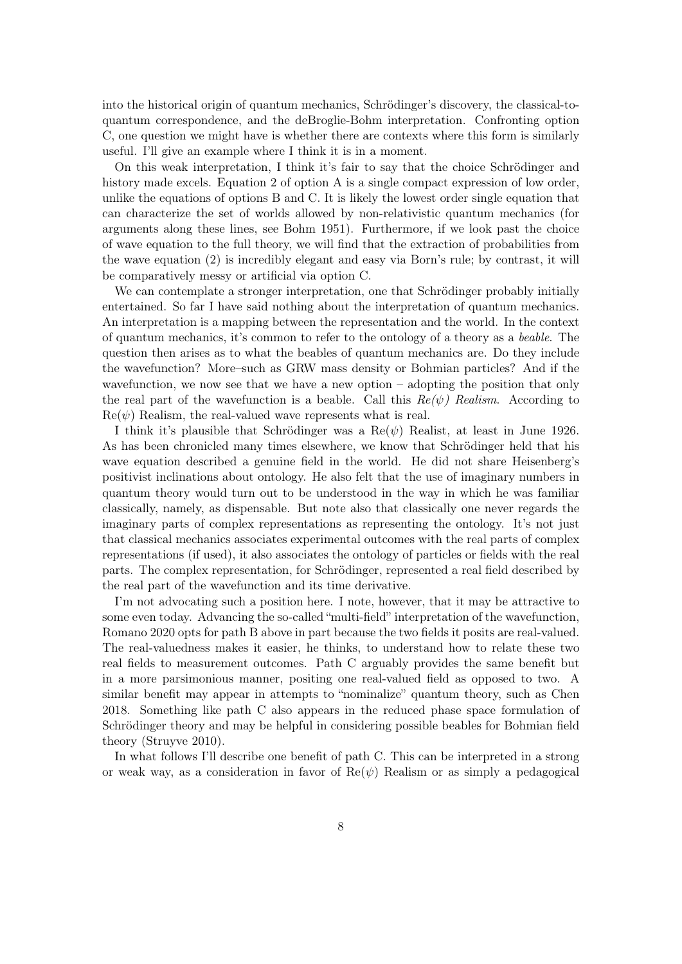into the historical origin of quantum mechanics, Schrödinger's discovery, the classical-toquantum correspondence, and the deBroglie-Bohm interpretation. Confronting option C, one question we might have is whether there are contexts where this form is similarly useful. I'll give an example where I think it is in a moment.

On this weak interpretation, I think it's fair to say that the choice Schrödinger and history made excels. Equation 2 of option A is a single compact expression of low order, unlike the equations of options B and C. It is likely the lowest order single equation that can characterize the set of worlds allowed by non-relativistic quantum mechanics (for arguments along these lines, see Bohm 1951). Furthermore, if we look past the choice of wave equation to the full theory, we will find that the extraction of probabilities from the wave equation (2) is incredibly elegant and easy via Born's rule; by contrast, it will be comparatively messy or artificial via option C.

We can contemplate a stronger interpretation, one that Schrödinger probably initially entertained. So far I have said nothing about the interpretation of quantum mechanics. An interpretation is a mapping between the representation and the world. In the context of quantum mechanics, it's common to refer to the ontology of a theory as a beable. The question then arises as to what the beables of quantum mechanics are. Do they include the wavefunction? More–such as GRW mass density or Bohmian particles? And if the wavefunction, we now see that we have a new option – adopting the position that only the real part of the wavefunction is a beable. Call this  $Re(\psi)$  Realism. According to  $\text{Re}(\psi)$  Realism, the real-valued wave represents what is real.

I think it's plausible that Schrödinger was a  $\text{Re}(\psi)$  Realist, at least in June 1926. As has been chronicled many times elsewhere, we know that Schrödinger held that his wave equation described a genuine field in the world. He did not share Heisenberg's positivist inclinations about ontology. He also felt that the use of imaginary numbers in quantum theory would turn out to be understood in the way in which he was familiar classically, namely, as dispensable. But note also that classically one never regards the imaginary parts of complex representations as representing the ontology. It's not just that classical mechanics associates experimental outcomes with the real parts of complex representations (if used), it also associates the ontology of particles or fields with the real parts. The complex representation, for Schrödinger, represented a real field described by the real part of the wavefunction and its time derivative.

I'm not advocating such a position here. I note, however, that it may be attractive to some even today. Advancing the so-called "multi-field" interpretation of the wavefunction, Romano 2020 opts for path B above in part because the two fields it posits are real-valued. The real-valuedness makes it easier, he thinks, to understand how to relate these two real fields to measurement outcomes. Path C arguably provides the same benefit but in a more parsimonious manner, positing one real-valued field as opposed to two. A similar benefit may appear in attempts to "nominalize" quantum theory, such as Chen 2018. Something like path C also appears in the reduced phase space formulation of Schrödinger theory and may be helpful in considering possible beables for Bohmian field theory (Struyve 2010).

In what follows I'll describe one benefit of path C. This can be interpreted in a strong or weak way, as a consideration in favor of  $\text{Re}(\psi)$  Realism or as simply a pedagogical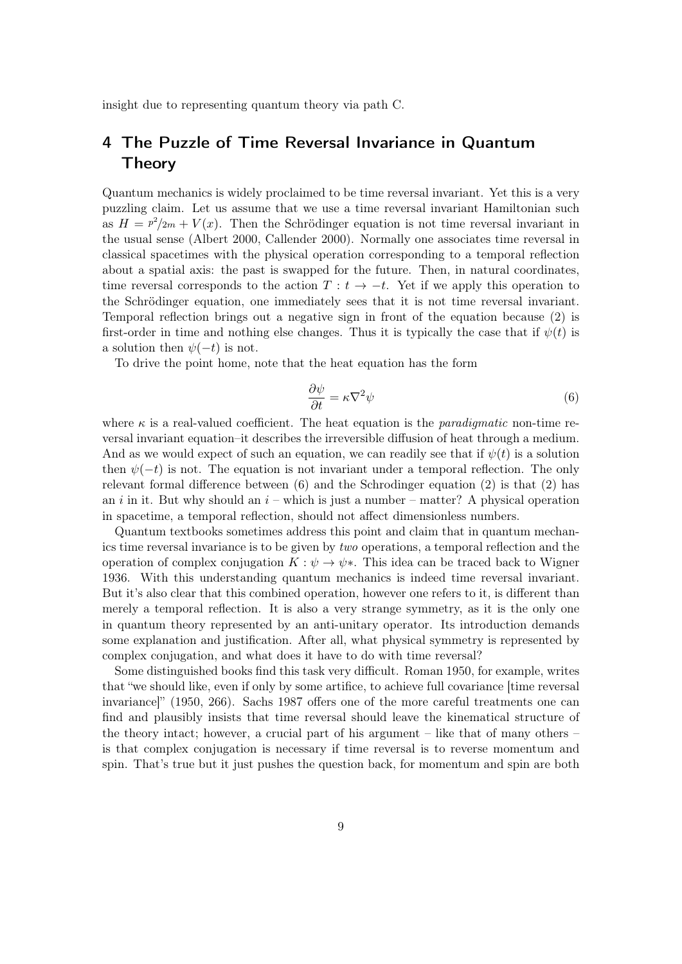insight due to representing quantum theory via path C.

### 4 The Puzzle of Time Reversal Invariance in Quantum Theory

Quantum mechanics is widely proclaimed to be time reversal invariant. Yet this is a very puzzling claim. Let us assume that we use a time reversal invariant Hamiltonian such as  $H = \frac{p^2}{2m} + V(x)$ . Then the Schrödinger equation is not time reversal invariant in the usual sense (Albert 2000, Callender 2000). Normally one associates time reversal in classical spacetimes with the physical operation corresponding to a temporal reflection about a spatial axis: the past is swapped for the future. Then, in natural coordinates, time reversal corresponds to the action  $T : t \to -t$ . Yet if we apply this operation to the Schrödinger equation, one immediately sees that it is not time reversal invariant. Temporal reflection brings out a negative sign in front of the equation because (2) is first-order in time and nothing else changes. Thus it is typically the case that if  $\psi(t)$  is a solution then  $\psi(-t)$  is not.

To drive the point home, note that the heat equation has the form

$$
\frac{\partial \psi}{\partial t} = \kappa \nabla^2 \psi \tag{6}
$$

where  $\kappa$  is a real-valued coefficient. The heat equation is the *paradigmatic* non-time reversal invariant equation–it describes the irreversible diffusion of heat through a medium. And as we would expect of such an equation, we can readily see that if  $\psi(t)$  is a solution then  $\psi(-t)$  is not. The equation is not invariant under a temporal reflection. The only relevant formal difference between  $(6)$  and the Schrodinger equation  $(2)$  is that  $(2)$  has an i in it. But why should an  $i$  – which is just a number – matter? A physical operation in spacetime, a temporal reflection, should not affect dimensionless numbers.

Quantum textbooks sometimes address this point and claim that in quantum mechanics time reversal invariance is to be given by two operations, a temporal reflection and the operation of complex conjugation  $K : \psi \to \psi^*$ . This idea can be traced back to Wigner 1936. With this understanding quantum mechanics is indeed time reversal invariant. But it's also clear that this combined operation, however one refers to it, is different than merely a temporal reflection. It is also a very strange symmetry, as it is the only one in quantum theory represented by an anti-unitary operator. Its introduction demands some explanation and justification. After all, what physical symmetry is represented by complex conjugation, and what does it have to do with time reversal?

Some distinguished books find this task very difficult. Roman 1950, for example, writes that "we should like, even if only by some artifice, to achieve full covariance [time reversal invariance]" (1950, 266). Sachs 1987 offers one of the more careful treatments one can find and plausibly insists that time reversal should leave the kinematical structure of the theory intact; however, a crucial part of his argument  $-$  like that of many others  $$ is that complex conjugation is necessary if time reversal is to reverse momentum and spin. That's true but it just pushes the question back, for momentum and spin are both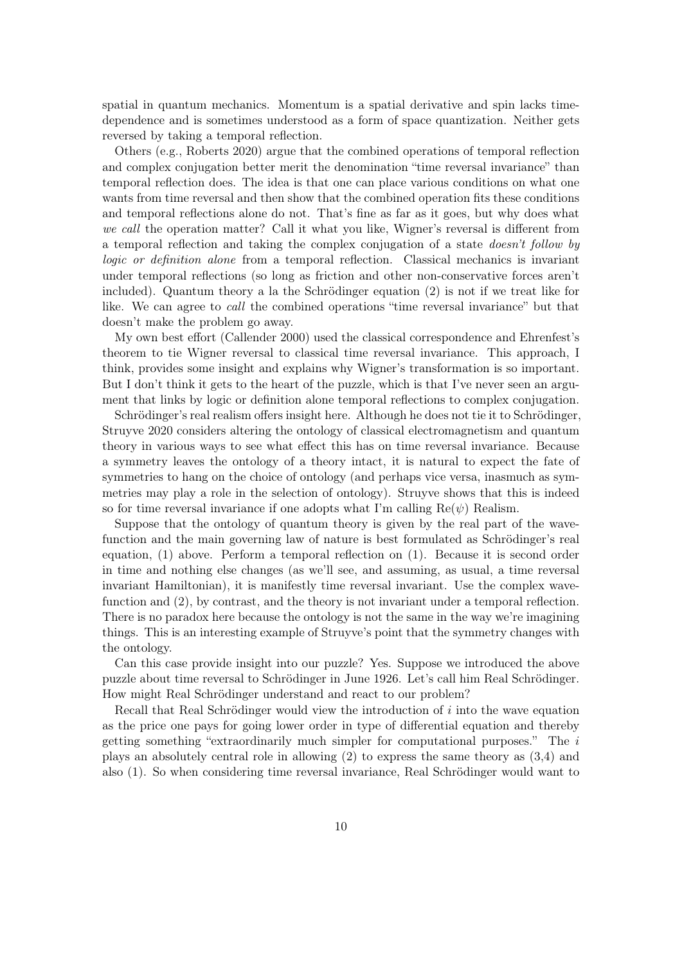spatial in quantum mechanics. Momentum is a spatial derivative and spin lacks timedependence and is sometimes understood as a form of space quantization. Neither gets reversed by taking a temporal reflection.

Others (e.g., Roberts 2020) argue that the combined operations of temporal reflection and complex conjugation better merit the denomination "time reversal invariance" than temporal reflection does. The idea is that one can place various conditions on what one wants from time reversal and then show that the combined operation fits these conditions and temporal reflections alone do not. That's fine as far as it goes, but why does what we call the operation matter? Call it what you like, Wigner's reversal is different from a temporal reflection and taking the complex conjugation of a state doesn't follow by logic or definition alone from a temporal reflection. Classical mechanics is invariant under temporal reflections (so long as friction and other non-conservative forces aren't included). Quantum theory a la the Schrödinger equation (2) is not if we treat like for like. We can agree to call the combined operations "time reversal invariance" but that doesn't make the problem go away.

My own best effort (Callender 2000) used the classical correspondence and Ehrenfest's theorem to tie Wigner reversal to classical time reversal invariance. This approach, I think, provides some insight and explains why Wigner's transformation is so important. But I don't think it gets to the heart of the puzzle, which is that I've never seen an argument that links by logic or definition alone temporal reflections to complex conjugation.

Schrödinger's real realism offers insight here. Although he does not tie it to Schrödinger, Struyve 2020 considers altering the ontology of classical electromagnetism and quantum theory in various ways to see what effect this has on time reversal invariance. Because a symmetry leaves the ontology of a theory intact, it is natural to expect the fate of symmetries to hang on the choice of ontology (and perhaps vice versa, inasmuch as symmetries may play a role in the selection of ontology). Struyve shows that this is indeed so for time reversal invariance if one adopts what I'm calling  $\text{Re}(\psi)$  Realism.

Suppose that the ontology of quantum theory is given by the real part of the wavefunction and the main governing law of nature is best formulated as Schrödinger's real equation, (1) above. Perform a temporal reflection on (1). Because it is second order in time and nothing else changes (as we'll see, and assuming, as usual, a time reversal invariant Hamiltonian), it is manifestly time reversal invariant. Use the complex wavefunction and (2), by contrast, and the theory is not invariant under a temporal reflection. There is no paradox here because the ontology is not the same in the way we're imagining things. This is an interesting example of Struyve's point that the symmetry changes with the ontology.

Can this case provide insight into our puzzle? Yes. Suppose we introduced the above puzzle about time reversal to Schrödinger in June 1926. Let's call him Real Schrödinger. How might Real Schrödinger understand and react to our problem?

Recall that Real Schrödinger would view the introduction of i into the wave equation as the price one pays for going lower order in type of differential equation and thereby getting something "extraordinarily much simpler for computational purposes." The i plays an absolutely central role in allowing (2) to express the same theory as (3,4) and also (1). So when considering time reversal invariance, Real Schrödinger would want to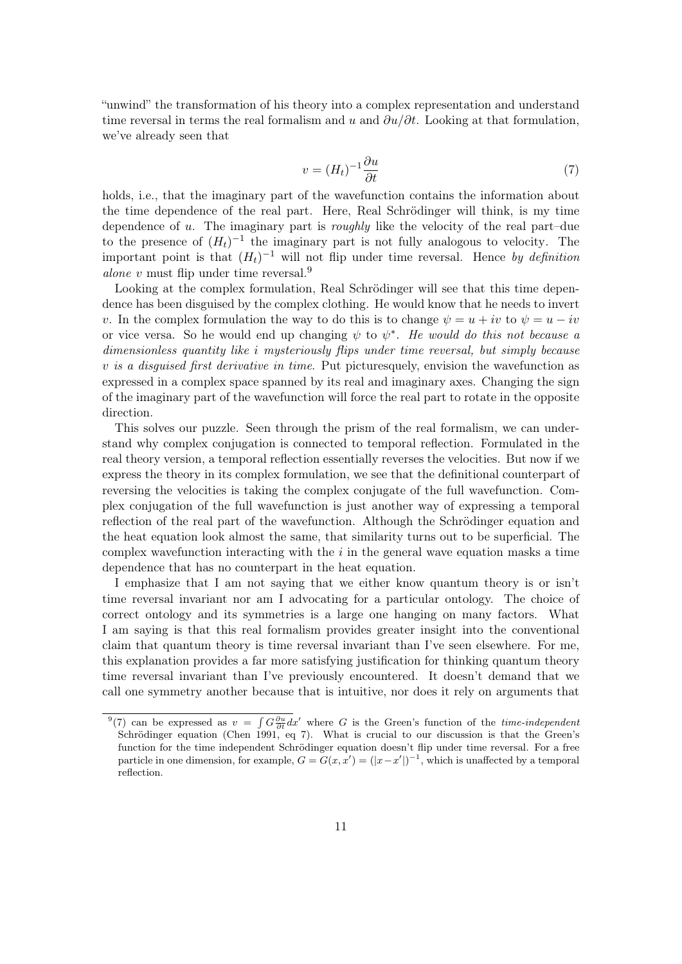"unwind" the transformation of his theory into a complex representation and understand time reversal in terms the real formalism and u and  $\partial u/\partial t$ . Looking at that formulation, we've already seen that

$$
v = (H_t)^{-1} \frac{\partial u}{\partial t} \tag{7}
$$

holds, i.e., that the imaginary part of the wavefunction contains the information about the time dependence of the real part. Here, Real Schrödinger will think, is my time dependence of u. The imaginary part is *roughly* like the velocity of the real part–due to the presence of  $(H_t)^{-1}$  the imaginary part is not fully analogous to velocity. The important point is that  $(H_t)^{-1}$  will not flip under time reversal. Hence by definition *alone* v must flip under time reversal.<sup>9</sup>

Looking at the complex formulation, Real Schrödinger will see that this time dependence has been disguised by the complex clothing. He would know that he needs to invert v. In the complex formulation the way to do this is to change  $\psi = u + iv$  to  $\psi = u - iv$ or vice versa. So he would end up changing  $\psi$  to  $\psi^*$ . He would do this not because a dimensionless quantity like i mysteriously flips under time reversal, but simply because  $v$  is a disquised first derivative in time. Put pictures quely, envision the wavefunction as expressed in a complex space spanned by its real and imaginary axes. Changing the sign of the imaginary part of the wavefunction will force the real part to rotate in the opposite direction.

This solves our puzzle. Seen through the prism of the real formalism, we can understand why complex conjugation is connected to temporal reflection. Formulated in the real theory version, a temporal reflection essentially reverses the velocities. But now if we express the theory in its complex formulation, we see that the definitional counterpart of reversing the velocities is taking the complex conjugate of the full wavefunction. Complex conjugation of the full wavefunction is just another way of expressing a temporal reflection of the real part of the wavefunction. Although the Schrödinger equation and the heat equation look almost the same, that similarity turns out to be superficial. The complex wavefunction interacting with the  $i$  in the general wave equation masks a time dependence that has no counterpart in the heat equation.

I emphasize that I am not saying that we either know quantum theory is or isn't time reversal invariant nor am I advocating for a particular ontology. The choice of correct ontology and its symmetries is a large one hanging on many factors. What I am saying is that this real formalism provides greater insight into the conventional claim that quantum theory is time reversal invariant than I've seen elsewhere. For me, this explanation provides a far more satisfying justification for thinking quantum theory time reversal invariant than I've previously encountered. It doesn't demand that we call one symmetry another because that is intuitive, nor does it rely on arguments that

<sup>&</sup>lt;sup>9</sup>(7) can be expressed as  $v = \int G \frac{\partial u}{\partial t} dx'$  where G is the Green's function of the *time-independent* Schrödinger equation (Chen 1991, eq 7). What is crucial to our discussion is that the Green's function for the time independent Schrödinger equation doesn't flip under time reversal. For a free particle in one dimension, for example,  $G = G(x, x') = (|x - x'|)^{-1}$ , which is unaffected by a temporal reflection.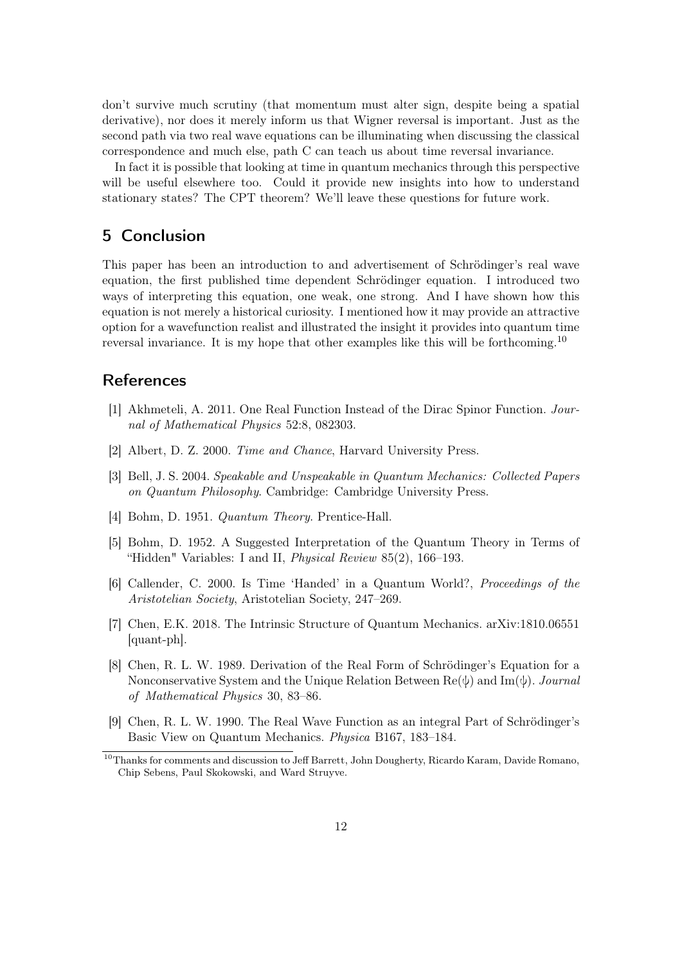don't survive much scrutiny (that momentum must alter sign, despite being a spatial derivative), nor does it merely inform us that Wigner reversal is important. Just as the second path via two real wave equations can be illuminating when discussing the classical correspondence and much else, path C can teach us about time reversal invariance.

In fact it is possible that looking at time in quantum mechanics through this perspective will be useful elsewhere too. Could it provide new insights into how to understand stationary states? The CPT theorem? We'll leave these questions for future work.

#### 5 Conclusion

This paper has been an introduction to and advertisement of Schrödinger's real wave equation, the first published time dependent Schrödinger equation. I introduced two ways of interpreting this equation, one weak, one strong. And I have shown how this equation is not merely a historical curiosity. I mentioned how it may provide an attractive option for a wavefunction realist and illustrated the insight it provides into quantum time reversal invariance. It is my hope that other examples like this will be forthcoming.<sup>10</sup>

#### References

- [1] Akhmeteli, A. 2011. One Real Function Instead of the Dirac Spinor Function. Journal of Mathematical Physics 52:8, 082303.
- [2] Albert, D. Z. 2000. Time and Chance, Harvard University Press.
- [3] Bell, J. S. 2004. Speakable and Unspeakable in Quantum Mechanics: Collected Papers on Quantum Philosophy. Cambridge: Cambridge University Press.
- [4] Bohm, D. 1951. Quantum Theory. Prentice-Hall.
- [5] Bohm, D. 1952. A Suggested Interpretation of the Quantum Theory in Terms of "Hidden" Variables: I and II, *Physical Review* 85(2), 166–193.
- [6] Callender, C. 2000. Is Time 'Handed' in a Quantum World?, Proceedings of the Aristotelian Society, Aristotelian Society, 247–269.
- [7] Chen, E.K. 2018. The Intrinsic Structure of Quantum Mechanics. arXiv:1810.06551 [quant-ph].
- [8] Chen, R. L. W. 1989. Derivation of the Real Form of Schrödinger's Equation for a Nonconservative System and the Unique Relation Between  $\text{Re}(\psi)$  and  $\text{Im}(\psi)$ . Journal of Mathematical Physics 30, 83–86.
- [9] Chen, R. L. W. 1990. The Real Wave Function as an integral Part of Schrödinger's Basic View on Quantum Mechanics. Physica B167, 183–184.

<sup>&</sup>lt;sup>10</sup>Thanks for comments and discussion to Jeff Barrett, John Dougherty, Ricardo Karam, Davide Romano, Chip Sebens, Paul Skokowski, and Ward Struyve.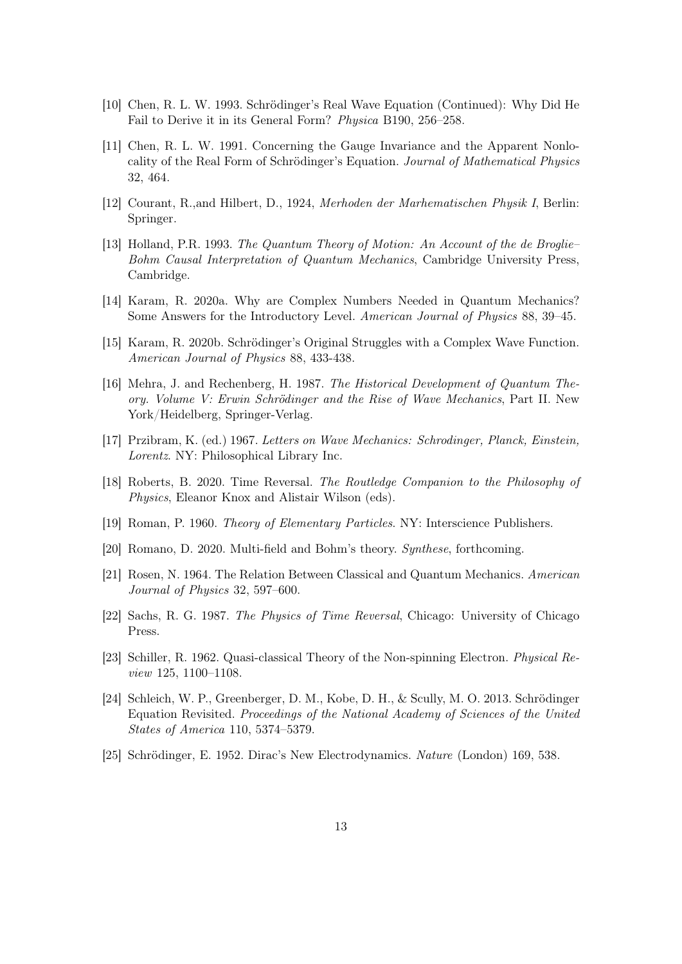- [10] Chen, R. L. W. 1993. Schrödinger's Real Wave Equation (Continued): Why Did He Fail to Derive it in its General Form? Physica B190, 256–258.
- [11] Chen, R. L. W. 1991. Concerning the Gauge Invariance and the Apparent Nonlocality of the Real Form of Schrödinger's Equation. Journal of Mathematical Physics 32, 464.
- [12] Courant, R.,and Hilbert, D., 1924, Merhoden der Marhematischen Physik I, Berlin: Springer.
- [13] Holland, P.R. 1993. The Quantum Theory of Motion: An Account of the de Broglie– Bohm Causal Interpretation of Quantum Mechanics, Cambridge University Press, Cambridge.
- [14] Karam, R. 2020a. Why are Complex Numbers Needed in Quantum Mechanics? Some Answers for the Introductory Level. American Journal of Physics 88, 39–45.
- [15] Karam, R. 2020b. Schrödinger's Original Struggles with a Complex Wave Function. American Journal of Physics 88, 433-438.
- [16] Mehra, J. and Rechenberg, H. 1987. The Historical Development of Quantum Theory. Volume V: Erwin Schrödinger and the Rise of Wave Mechanics, Part II. New York/Heidelberg, Springer-Verlag.
- [17] Przibram, K. (ed.) 1967. Letters on Wave Mechanics: Schrodinger, Planck, Einstein, Lorentz. NY: Philosophical Library Inc.
- [18] Roberts, B. 2020. Time Reversal. The Routledge Companion to the Philosophy of Physics, Eleanor Knox and Alistair Wilson (eds).
- [19] Roman, P. 1960. Theory of Elementary Particles. NY: Interscience Publishers.
- [20] Romano, D. 2020. Multi-field and Bohm's theory. Synthese, forthcoming.
- [21] Rosen, N. 1964. The Relation Between Classical and Quantum Mechanics. American Journal of Physics 32, 597–600.
- [22] Sachs, R. G. 1987. The Physics of Time Reversal, Chicago: University of Chicago Press.
- [23] Schiller, R. 1962. Quasi-classical Theory of the Non-spinning Electron. Physical Review 125, 1100–1108.
- [24] Schleich, W. P., Greenberger, D. M., Kobe, D. H., & Scully, M. O. 2013. Schrödinger Equation Revisited. Proceedings of the National Academy of Sciences of the United States of America 110, 5374–5379.
- [25] Schrödinger, E. 1952. Dirac's New Electrodynamics. Nature (London) 169, 538.